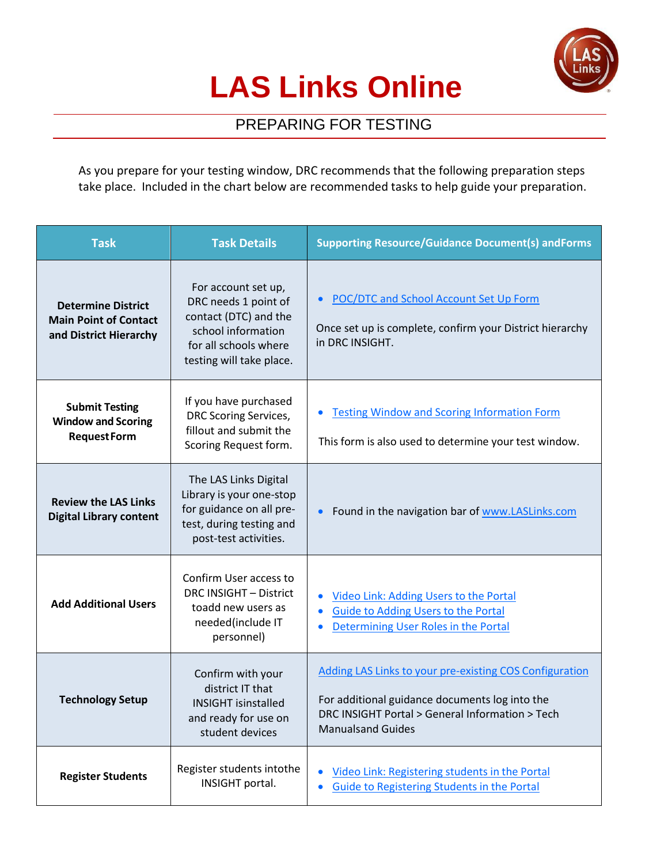

## **LAS Links Online**

## PREPARING FOR TESTING

As you prepare for your testing window, DRC recommends that the following preparation steps take place. Included in the chart below are recommended tasks to help guide your preparation.

| <b>Task</b>                                                                         | <b>Task Details</b>                                                                                                                             | <b>Supporting Resource/Guidance Document(s) andForms</b>                                                                                                                                        |
|-------------------------------------------------------------------------------------|-------------------------------------------------------------------------------------------------------------------------------------------------|-------------------------------------------------------------------------------------------------------------------------------------------------------------------------------------------------|
| <b>Determine District</b><br><b>Main Point of Contact</b><br>and District Hierarchy | For account set up,<br>DRC needs 1 point of<br>contact (DTC) and the<br>school information<br>for all schools where<br>testing will take place. | <b>POC/DTC and School Account Set Up Form</b><br>$\bullet$<br>Once set up is complete, confirm your District hierarchy<br>in DRC INSIGHT.                                                       |
| <b>Submit Testing</b><br><b>Window and Scoring</b><br><b>RequestForm</b>            | If you have purchased<br><b>DRC Scoring Services,</b><br>fillout and submit the<br>Scoring Request form.                                        | <b>Testing Window and Scoring Information Form</b><br>This form is also used to determine your test window.                                                                                     |
| <b>Review the LAS Links</b><br><b>Digital Library content</b>                       | The LAS Links Digital<br>Library is your one-stop<br>for guidance on all pre-<br>test, during testing and<br>post-test activities.              | Found in the navigation bar of www.LASLinks.com<br>$\bullet$                                                                                                                                    |
| <b>Add Additional Users</b>                                                         | Confirm User access to<br>DRC INSIGHT - District<br>toadd new users as<br>needed(include IT<br>personnel)                                       | Video Link: Adding Users to the Portal<br>$\bullet$<br>Guide to Adding Users to the Portal<br>Determining User Roles in the Portal                                                              |
| <b>Technology Setup</b>                                                             | Confirm with your<br>district IT that<br><b>INSIGHT isinstalled</b><br>and ready for use on<br>student devices                                  | <b>Adding LAS Links to your pre-existing COS Configuration</b><br>For additional guidance documents log into the<br>DRC INSIGHT Portal > General Information > Tech<br><b>Manualsand Guides</b> |
| <b>Register Students</b>                                                            | Register students intothe<br>INSIGHT portal.                                                                                                    | Video Link: Registering students in the Portal<br>$\bullet$<br><b>Guide to Registering Students in the Portal</b>                                                                               |